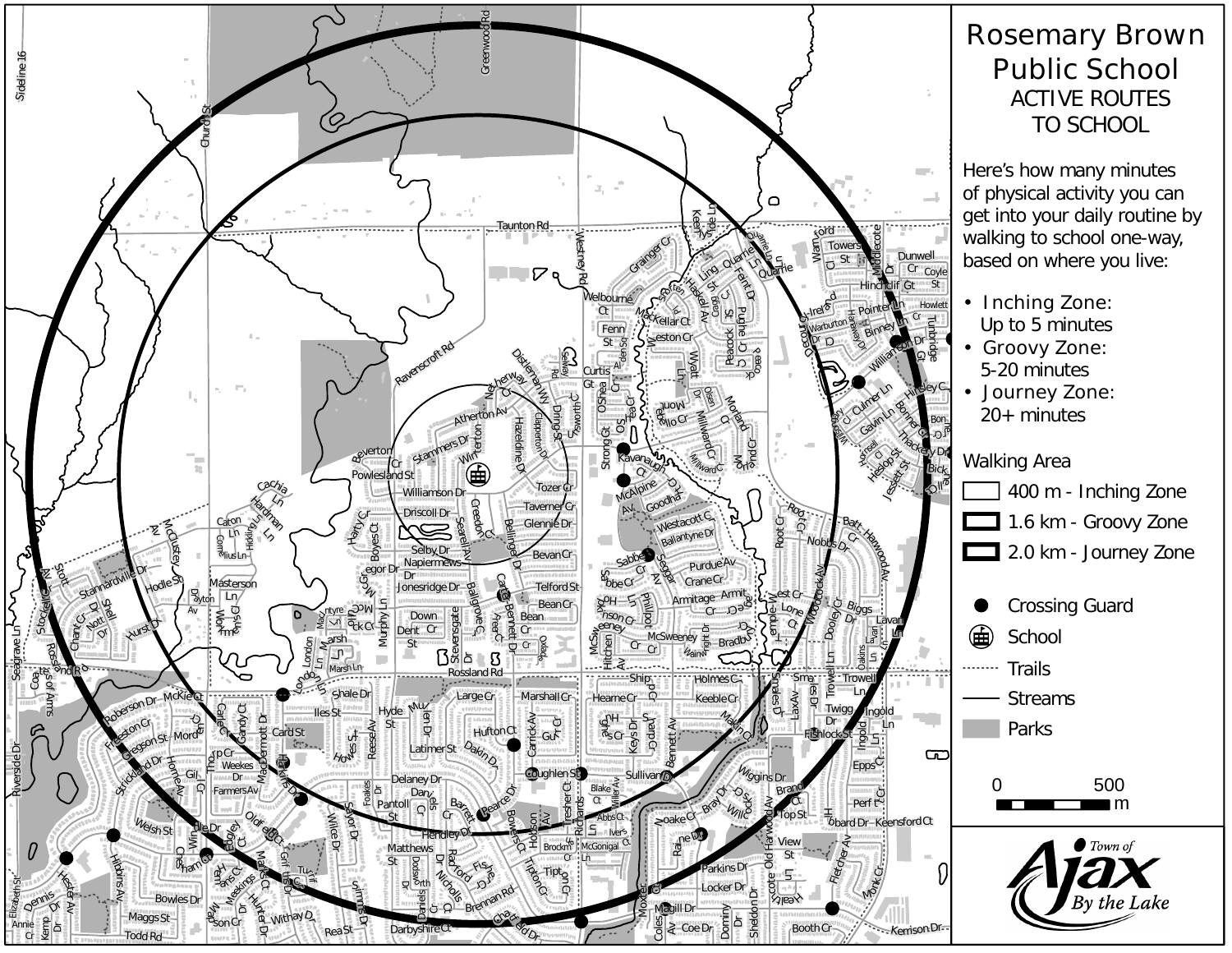